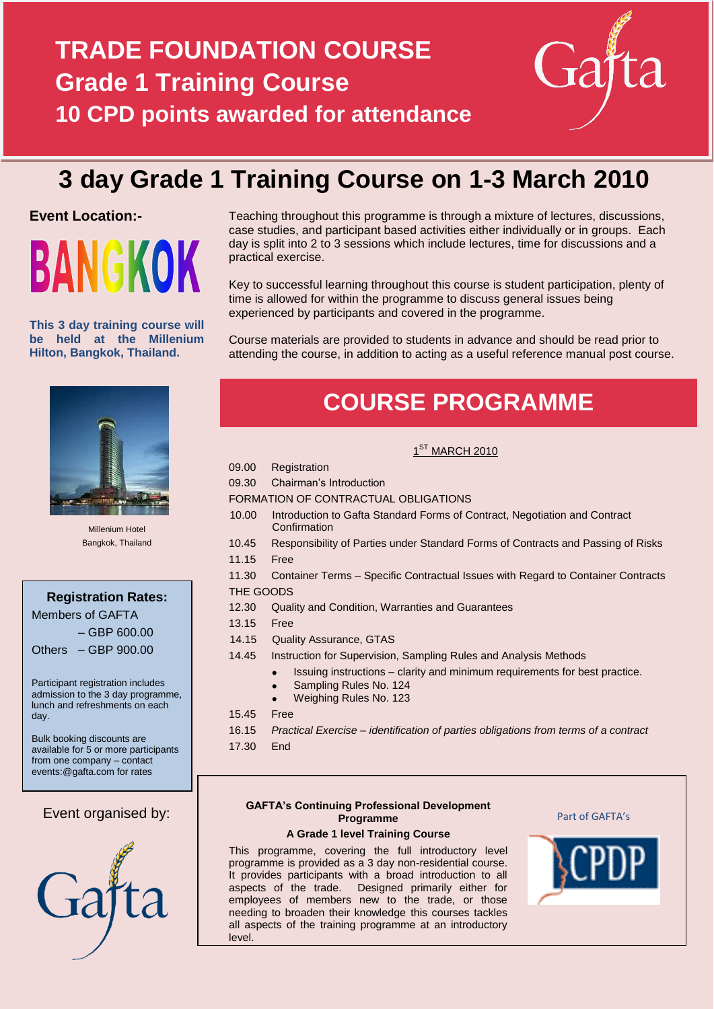# **TRADE FOUNDATION COURSE Grade 1 Training Course 10 CPD points awarded for attendance**



# **3 day Grade 1 Training Course on 1-3 March 2010**

# **Event Location:-**



**This 3 day training course will be held at the Millenium Hilton, Bangkok, Thailand.**



Millenium Hotel Bangkok, Thailand

**Registration Rates:**

Members of GAFTA – GBP 600.00

Others – GBP 900.00

Participant registration includes admission to the 3 day programme, lunch and refreshments on each day.

Bulk booking discounts are available for 5 or more participants from one company – contact events:@gafta.com for rates

# Event organised by:



Teaching throughout this programme is through a mixture of lectures, discussions, case studies, and participant based activities either individually or in groups. Each day is split into 2 to 3 sessions which include lectures, time for discussions and a practical exercise.

Key to successful learning throughout this course is student participation, plenty of time is allowed for within the programme to discuss general issues being experienced by participants and covered in the programme.

Course materials are provided to students in advance and should be read prior to attending the course, in addition to acting as a useful reference manual post course.

# **COURSE PROGRAMME**

# $1^{ST}$  MARCH 2010

- 09.00 Registration
- 09.30 Chairman's Introduction
- FORMATION OF CONTRACTUAL OBLIGATIONS
	- 10.00 Introduction to Gafta Standard Forms of Contract, Negotiation and Contract **Confirmation**
- 10.45 Responsibility of Parties under Standard Forms of Contracts and Passing of Risks
- 11.15 Free
- 11.30 Container Terms Specific Contractual Issues with Regard to Container Contracts THE GOODS
- 12.30 Quality and Condition, Warranties and Guarantees
- 13.15 Free
- 14.15 Quality Assurance, GTAS
- 14.45 Instruction for Supervision, Sampling Rules and Analysis Methods
	- Issuing instructions clarity and minimum requirements for best practice.
	- Sampling Rules No. 124
	- Weighing Rules No. 123  $\bullet$
- 15.45 Free
- 16.15 *Practical Exercise – identification of parties obligations from terms of a contract*
- 17.30 End

## **GAFTA's Continuing Professional Development Programme**

## **A Grade 1 level Training Course**

This programme, covering the full introductory level programme is provided as a 3 day non-residential course. It provides participants with a broad introduction to all aspects of the trade. Designed primarily either for employees of members new to the trade, or those needing to broaden their knowledge this courses tackles all aspects of the training programme at an introductory level.



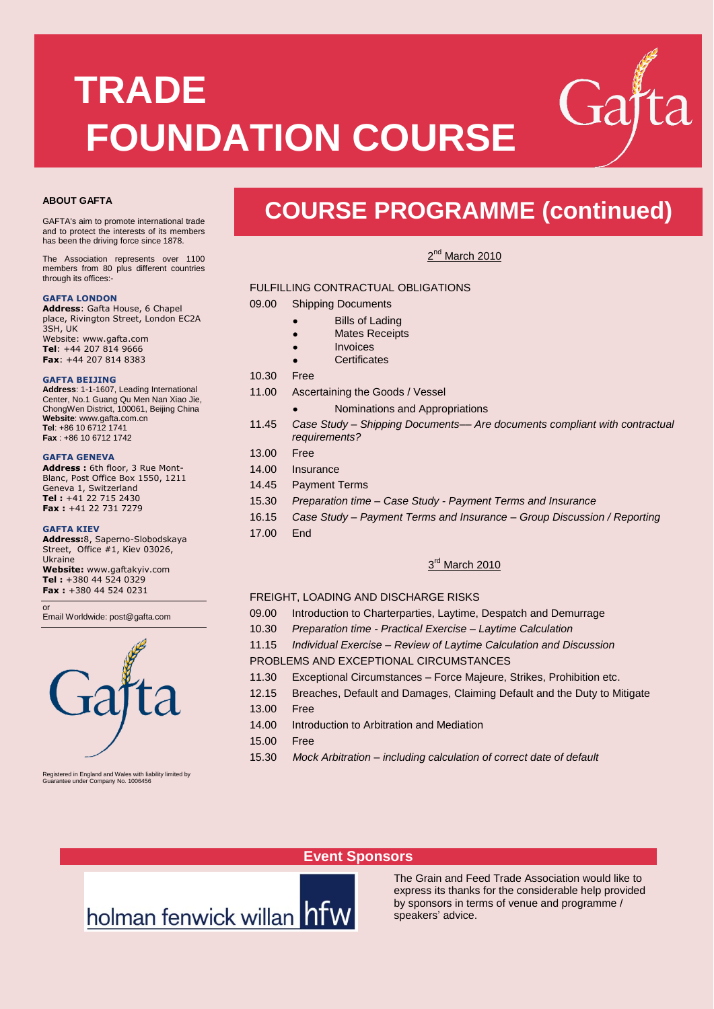# **TRADE FOUNDATION COURSE**

#### **ABOUT GAFTA**

GAFTA's aim to promote international trade and to protect the interests of its members has been the driving force since 1878.

The Association represents over 1100 members from 80 plus different countries through its offices:-

#### **GAFTA LONDON**

**Address**: Gafta House, 6 Chapel place, Rivington Street, London EC2A 3SH, UK Website: www.gafta.com **Tel**: +44 207 814 9666 **Fax**: +44 207 814 8383

#### **GAFTA BEIJING**

**Address**: 1-1-1607, Leading International Center, No.1 Guang Qu Men Nan Xiao Jie, ChongWen District, 100061, Beijing China **Website**[: www.gafta.com.cn](http://www.gafta.com.cn/) **Tel**: +86 10 6712 1741 **Fax** : +86 10 6712 1742

#### **GAFTA GENEVA**

**Address :** 6th floor, 3 Rue Mont-Blanc, Post Office Box 1550, 1211 Geneva 1, Switzerland **Tel :** +41 22 715 2430 **Fax :** +41 22 731 7279

#### **GAFTA KIEV**

or

**Address:**8, Saperno-Slobodskaya Street, Office #1, Kiev 03026, Ukraine

**Website:** www.gaftakyiv.com **Tel :** +380 44 524 0329 **Fax :** +380 44 524 0231

Email Worldwide[: post@gafta.com](mailto:post@gafta.com)



Registered in England and Wales with liability limited by Guarantee under Company No. 1006456

# **COURSE PROGRAMME (continued)**

2<sup>nd</sup> March 2010

#### FULFILLING CONTRACTUAL OBLIGATIONS

09.00 Shipping Documents

- Bills of Lading ×
- Mates Receipts
- Invoices
- **Certificates**

10.30 Free

- 11.00 Ascertaining the Goods / Vessel
	- Nominations and Appropriations
- 11.45 *Case Study – Shipping Documents–– Are documents compliant with contractual requirements?*
- 13.00 Free
- 14.00 Insurance
- 14.45 Payment Terms
- 15.30 *Preparation time – Case Study - Payment Terms and Insurance*
- 16.15 *Case Study – Payment Terms and Insurance – Group Discussion / Reporting*
- 17.00 End

### 3<sup>rd</sup> March 2010

#### FREIGHT, LOADING AND DISCHARGE RISKS

- 09.00 Introduction to Charterparties, Laytime, Despatch and Demurrage
- 10.30 *Preparation time - Practical Exercise – Laytime Calculation*
- 11.15 *Individual Exercise – Review of Laytime Calculation and Discussion* PROBLEMS AND EXCEPTIONAL CIRCUMSTANCES
- 11.30 Exceptional Circumstances Force Majeure, Strikes, Prohibition etc.
- 12.15 Breaches, Default and Damages, Claiming Default and the Duty to Mitigate
- 13.00 Free
- 14.00 Introduction to Arbitration and Mediation
- 15.00 Free
- 15.30 *Mock Arbitration – including calculation of correct date of default*

# **Event Sponsors**

The Grain and Feed Trade Association would like to express its thanks for the considerable help provided by sponsors in terms of venue and programme / speakers' advice.

holman fenwick willan hfw